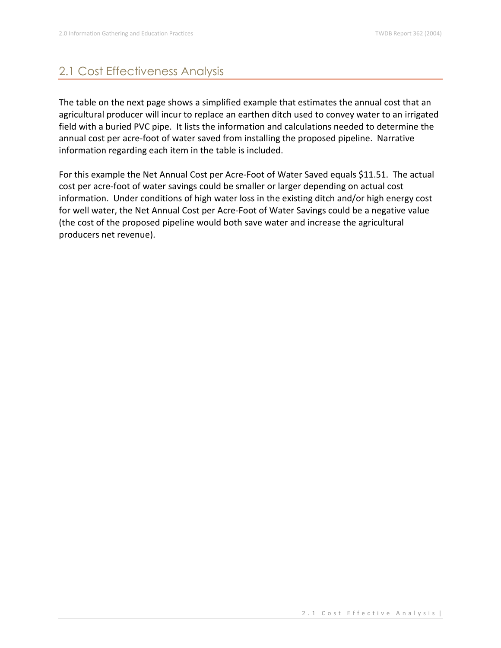## 2.1 Cost Effectiveness Analysis

The table on the next page shows a simplified example that estimates the annual cost that an agricultural producer will incur to replace an earthen ditch used to convey water to an irrigated field with a buried PVC pipe. It lists the information and calculations needed to determine the annual cost per acre-foot of water saved from installing the proposed pipeline. Narrative information regarding each item in the table is included.

For this example the Net Annual Cost per Acre-Foot of Water Saved equals \$11.51. The actual cost per acre-foot of water savings could be smaller or larger depending on actual cost information. Under conditions of high water loss in the existing ditch and/or high energy cost for well water, the Net Annual Cost per Acre-Foot of Water Savings could be a negative value (the cost of the proposed pipeline would both save water and increase the agricultural producers net revenue).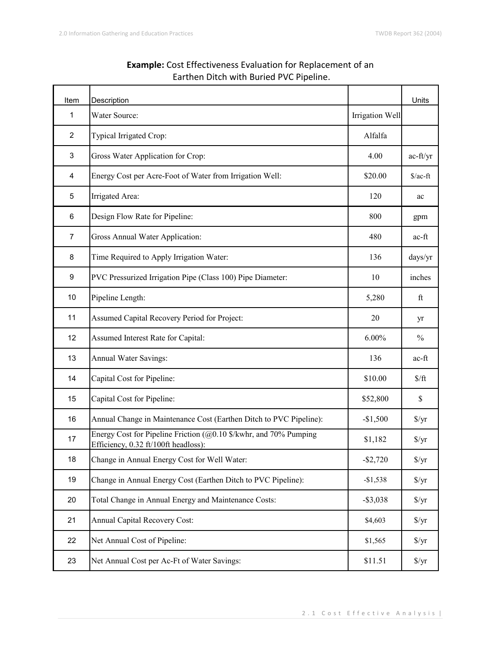| Item           | Description                                                                                                          |                 | Units              |
|----------------|----------------------------------------------------------------------------------------------------------------------|-----------------|--------------------|
| 1              | Water Source:                                                                                                        | Irrigation Well |                    |
| $\overline{c}$ | Typical Irrigated Crop:                                                                                              | Alfalfa         |                    |
| 3              | Gross Water Application for Crop:                                                                                    | 4.00            | ac-ft/yr           |
| 4              | Energy Cost per Acre-Foot of Water from Irrigation Well:                                                             | \$20.00         | $\sqrt{$}$ /ac-ft  |
| 5              | Irrigated Area:                                                                                                      | 120             | ac                 |
| 6              | Design Flow Rate for Pipeline:                                                                                       | 800             | gpm                |
| $\overline{7}$ | Gross Annual Water Application:                                                                                      | 480             | ac-ft              |
| 8              | Time Required to Apply Irrigation Water:                                                                             | 136             | days/yr            |
| 9              | PVC Pressurized Irrigation Pipe (Class 100) Pipe Diameter:                                                           | 10              | inches             |
| 10             | Pipeline Length:                                                                                                     | 5,280           | ft                 |
| 11             | Assumed Capital Recovery Period for Project:                                                                         | 20              | yr                 |
| 12             | Assumed Interest Rate for Capital:                                                                                   | $6.00\%$        | $\frac{0}{0}$      |
| 13             | Annual Water Savings:                                                                                                | 136             | ac-ft              |
| 14             | Capital Cost for Pipeline:                                                                                           | \$10.00         | $\frac{\pi}{3}$    |
| 15             | Capital Cost for Pipeline:                                                                                           | \$52,800        | \$                 |
| 16             | Annual Change in Maintenance Cost (Earthen Ditch to PVC Pipeline):                                                   | $-\$1,500$      | $\frac{\gamma}{3}$ |
| 17             | Energy Cost for Pipeline Friction $(Q0.10 \text{ $N$}$ kwhr, and 70% Pumping<br>Efficiency, 0.32 ft/100ft headloss): | \$1,182         | $\frac{\gamma}{3}$ |
| 18             | Change in Annual Energy Cost for Well Water:                                                                         | $-$2,720$       | $\frac{f}{f}$      |
| 19             | Change in Annual Energy Cost (Earthen Ditch to PVC Pipeline):                                                        | $-$1,538$       | $\frac{\gamma}{2}$ |
| 20             | Total Change in Annual Energy and Maintenance Costs:                                                                 | $-$ \$3,038     | $\frac{\gamma}{2}$ |
| 21             | <b>Annual Capital Recovery Cost:</b>                                                                                 | \$4,603         | $\frac{\gamma}{2}$ |
| 22             | Net Annual Cost of Pipeline:                                                                                         | \$1,565         | $\frac{\gamma}{2}$ |
| 23             | Net Annual Cost per Ac-Ft of Water Savings:                                                                          | \$11.51         | $\frac{\gamma}{3}$ |

## **Example:** Cost Effectiveness Evaluation for Replacement of an Earthen Ditch with Buried PVC Pipeline.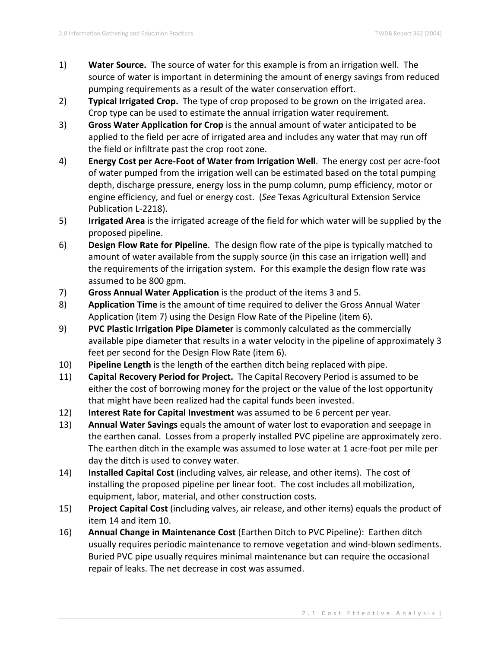- 1) **Water Source.** The source of water for this example is from an irrigation well. The source of water is important in determining the amount of energy savings from reduced pumping requirements as a result of the water conservation effort.
- 2) **Typical Irrigated Crop.** The type of crop proposed to be grown on the irrigated area. Crop type can be used to estimate the annual irrigation water requirement.
- 3) **Gross Water Application for Crop** is the annual amount of water anticipated to be applied to the field per acre of irrigated area and includes any water that may run off the field or infiltrate past the crop root zone.
- 4) **Energy Cost per Acre-Foot of Water from Irrigation Well**. The energy cost per acre-foot of water pumped from the irrigation well can be estimated based on the total pumping depth, discharge pressure, energy loss in the pump column, pump efficiency, motor or engine efficiency, and fuel or energy cost. (*See* Texas Agricultural Extension Service Publication L-2218).
- 5) **Irrigated Area** is the irrigated acreage of the field for which water will be supplied by the proposed pipeline.
- 6) **Design Flow Rate for Pipeline**. The design flow rate of the pipe is typically matched to amount of water available from the supply source (in this case an irrigation well) and the requirements of the irrigation system. For this example the design flow rate was assumed to be 800 gpm.
- 7) **Gross Annual Water Application** is the product of the items 3 and 5.
- 8) **Application Time** is the amount of time required to deliver the Gross Annual Water Application (item 7) using the Design Flow Rate of the Pipeline (item 6).
- 9) **PVC Plastic Irrigation Pipe Diameter** is commonly calculated as the commercially available pipe diameter that results in a water velocity in the pipeline of approximately 3 feet per second for the Design Flow Rate (item 6).
- 10) **Pipeline Length** is the length of the earthen ditch being replaced with pipe.
- 11) **Capital Recovery Period for Project.** The Capital Recovery Period is assumed to be either the cost of borrowing money for the project or the value of the lost opportunity that might have been realized had the capital funds been invested.
- 12) **Interest Rate for Capital Investment** was assumed to be 6 percent per year.
- 13) **Annual Water Savings** equals the amount of water lost to evaporation and seepage in the earthen canal. Losses from a properly installed PVC pipeline are approximately zero. The earthen ditch in the example was assumed to lose water at 1 acre-foot per mile per day the ditch is used to convey water.
- 14) **Installed Capital Cost** (including valves, air release, and other items). The cost of installing the proposed pipeline per linear foot. The cost includes all mobilization, equipment, labor, material, and other construction costs.
- 15) **Project Capital Cost** (including valves, air release, and other items) equals the product of item 14 and item 10.
- 16) **Annual Change in Maintenance Cost** (Earthen Ditch to PVC Pipeline): Earthen ditch usually requires periodic maintenance to remove vegetation and wind-blown sediments. Buried PVC pipe usually requires minimal maintenance but can require the occasional repair of leaks. The net decrease in cost was assumed.